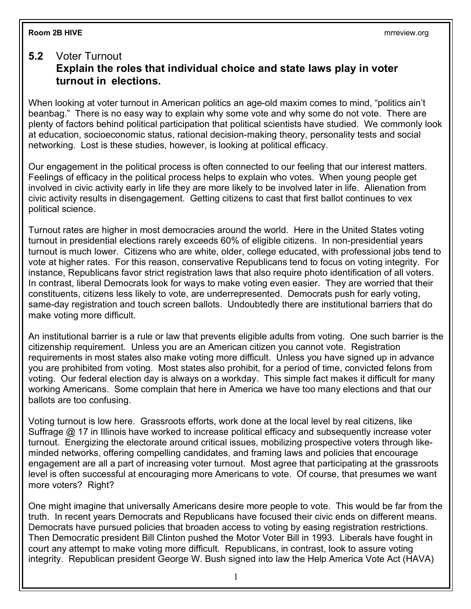## **Room 2B HIVE** mrreview.org

## **5.2** Voter Turnout **Explain the roles that individual choice and state laws play in voter turnout in elections.**

When looking at voter turnout in American politics an age-old maxim comes to mind, "politics ain't beanbag." There is no easy way to explain why some vote and why some do not vote. There are plenty of factors behind political participation that political scientists have studied. We commonly look at education, socioeconomic status, rational decision-making theory, personality tests and social networking. Lost is these studies, however, is looking at political efficacy.

Our engagement in the political process is often connected to our feeling that our interest matters. Feelings of efficacy in the political process helps to explain who votes. When young people get involved in civic activity early in life they are more likely to be involved later in life. Alienation from civic activity results in disengagement. Getting citizens to cast that first ballot continues to vex political science.

Turnout rates are higher in most democracies around the world. Here in the United States voting turnout in presidential elections rarely exceeds 60% of eligible citizens. In non-presidential years turnout is much lower. Citizens who are white, older, college educated, with professional jobs tend to vote at higher rates. For this reason, conservative Republicans tend to focus on voting integrity. For instance, Republicans favor strict registration laws that also require photo identification of all voters. In contrast, liberal Democrats look for ways to make voting even easier. They are worried that their constituents, citizens less likely to vote, are underrepresented. Democrats push for early voting, same-day registration and touch screen ballots. Undoubtedly there are institutional barriers that do make voting more difficult.

An institutional barrier is a rule or law that prevents eligible adults from voting. One such barrier is the citizenship requirement. Unless you are an American citizen you cannot vote. Registration requirements in most states also make voting more difficult. Unless you have signed up in advance you are prohibited from voting. Most states also prohibit, for a period of time, convicted felons from voting. Our federal election day is always on a workday. This simple fact makes it difficult for many working Americans. Some complain that here in America we have too many elections and that our ballots are too confusing.

Voting turnout is low here. Grassroots efforts, work done at the local level by real citizens, like Suffrage @ 17 in Illinois have worked to increase political efficacy and subsequently increase voter turnout. Energizing the electorate around critical issues, mobilizing prospective voters through likeminded networks, offering compelling candidates, and framing laws and policies that encourage engagement are all a part of increasing voter turnout. Most agree that participating at the grassroots level is often successful at encouraging more Americans to vote. Of course, that presumes we want more voters? Right?

One might imagine that universally Americans desire more people to vote. This would be far from the truth. In recent years Democrats and Republicans have focused their civic ends on different means. Democrats have pursued policies that broaden access to voting by easing registration restrictions. Then Democratic president Bill Clinton pushed the Motor Voter Bill in 1993. Liberals have fought in court any attempt to make voting more difficult. Republicans, in contrast, look to assure voting integrity. Republican president George W. Bush signed into law the Help America Vote Act (HAVA)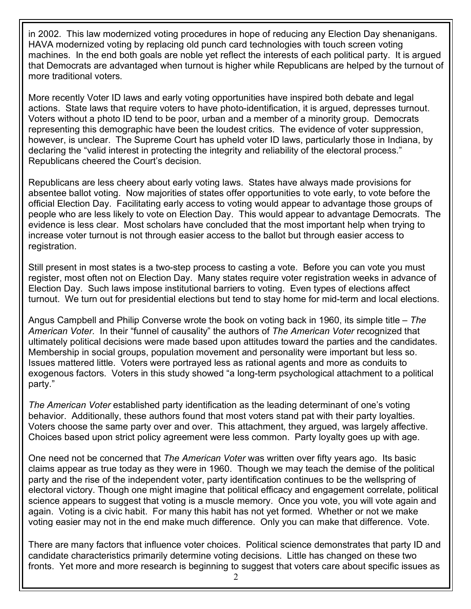in 2002. This law modernized voting procedures in hope of reducing any Election Day shenanigans. HAVA modernized voting by replacing old punch card technologies with touch screen voting machines. In the end both goals are noble yet reflect the interests of each political party. It is argued that Democrats are advantaged when turnout is higher while Republicans are helped by the turnout of more traditional voters.

More recently Voter ID laws and early voting opportunities have inspired both debate and legal actions. State laws that require voters to have photo-identification, it is argued, depresses turnout. Voters without a photo ID tend to be poor, urban and a member of a minority group. Democrats representing this demographic have been the loudest critics. The evidence of voter suppression, however, is unclear. The Supreme Court has upheld voter ID laws, particularly those in Indiana, by declaring the "valid interest in protecting the integrity and reliability of the electoral process." Republicans cheered the Court's decision.

Republicans are less cheery about early voting laws. States have always made provisions for absentee ballot voting. Now majorities of states offer opportunities to vote early, to vote before the official Election Day. Facilitating early access to voting would appear to advantage those groups of people who are less likely to vote on Election Day. This would appear to advantage Democrats. The evidence is less clear. Most scholars have concluded that the most important help when trying to increase voter turnout is not through easier access to the ballot but through easier access to registration.

Still present in most states is a two-step process to casting a vote. Before you can vote you must register, most often not on Election Day. Many states require voter registration weeks in advance of Election Day. Such laws impose institutional barriers to voting. Even types of elections affect turnout. We turn out for presidential elections but tend to stay home for mid-term and local elections.

Angus Campbell and Philip Converse wrote the book on voting back in 1960, its simple title – *The American Voter*. In their "funnel of causality" the authors of *The American Voter* recognized that ultimately political decisions were made based upon attitudes toward the parties and the candidates. Membership in social groups, population movement and personality were important but less so. Issues mattered little. Voters were portrayed less as rational agents and more as conduits to exogenous factors. Voters in this study showed "a long-term psychological attachment to a political party."

*The American Voter* established party identification as the leading determinant of one's voting behavior. Additionally, these authors found that most voters stand pat with their party loyalties. Voters choose the same party over and over. This attachment, they argued, was largely affective. Choices based upon strict policy agreement were less common. Party loyalty goes up with age.

One need not be concerned that *The American Voter* was written over fifty years ago. Its basic claims appear as true today as they were in 1960. Though we may teach the demise of the political party and the rise of the independent voter, party identification continues to be the wellspring of electoral victory. Though one might imagine that political efficacy and engagement correlate, political science appears to suggest that voting is a muscle memory. Once you vote, you will vote again and again. Voting is a civic habit. For many this habit has not yet formed. Whether or not we make voting easier may not in the end make much difference. Only you can make that difference. Vote.

There are many factors that influence voter choices. Political science demonstrates that party ID and candidate characteristics primarily determine voting decisions. Little has changed on these two fronts. Yet more and more research is beginning to suggest that voters care about specific issues as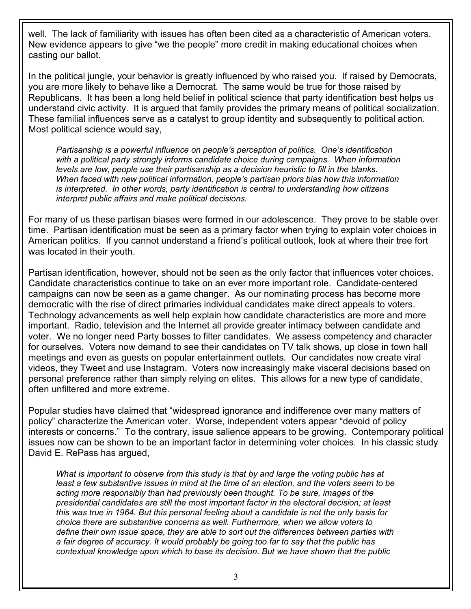well. The lack of familiarity with issues has often been cited as a characteristic of American voters. New evidence appears to give "we the people" more credit in making educational choices when casting our ballot.

In the political jungle, your behavior is greatly influenced by who raised you. If raised by Democrats, you are more likely to behave like a Democrat. The same would be true for those raised by Republicans. It has been a long held belief in political science that party identification best helps us understand civic activity. It is argued that family provides the primary means of political socialization. These familial influences serve as a catalyst to group identity and subsequently to political action. Most political science would say,

*Partisanship is a powerful influence on people's perception of politics. One's identification with a political party strongly informs candidate choice during campaigns. When information levels are low, people use their partisanship as a decision heuristic to fill in the blanks. When faced with new political information, people's partisan priors bias how this information is interpreted. In other words, party identification is central to understanding how citizens interpret public affairs and make political decisions.*

For many of us these partisan biases were formed in our adolescence. They prove to be stable over time. Partisan identification must be seen as a primary factor when trying to explain voter choices in American politics. If you cannot understand a friend's political outlook, look at where their tree fort was located in their youth.

Partisan identification, however, should not be seen as the only factor that influences voter choices. Candidate characteristics continue to take on an ever more important role. Candidate-centered campaigns can now be seen as a game changer. As our nominating process has become more democratic with the rise of direct primaries individual candidates make direct appeals to voters. Technology advancements as well help explain how candidate characteristics are more and more important. Radio, television and the Internet all provide greater intimacy between candidate and voter. We no longer need Party bosses to filter candidates. We assess competency and character for ourselves. Voters now demand to see their candidates on TV talk shows, up close in town hall meetings and even as guests on popular entertainment outlets. Our candidates now create viral videos, they Tweet and use Instagram. Voters now increasingly make visceral decisions based on personal preference rather than simply relying on elites. This allows for a new type of candidate, often unfiltered and more extreme.

Popular studies have claimed that "widespread ignorance and indifference over many matters of policy" characterize the American voter. Worse, independent voters appear "devoid of policy interests or concerns." To the contrary, issue salience appears to be growing. Contemporary political issues now can be shown to be an important factor in determining voter choices. In his classic study David E. RePass has argued,

*What is important to observe from this study is that by and large the voting public has at least a few substantive issues in mind at the time of an election, and the voters seem to be acting more responsibly than had previously been thought. To be sure, images of the presidential candidates are still the most important factor in the electoral decision; at least this was true in 1964. But this personal feeling about a candidate is not the only basis for choice there are substantive concerns as well. Furthermore, when we allow voters to define their own issue space, they are able to sort out the differences between parties with a fair degree of accuracy. It would probably be going too far to say that the public has contextual knowledge upon which to base its decision. But we have shown that the public*